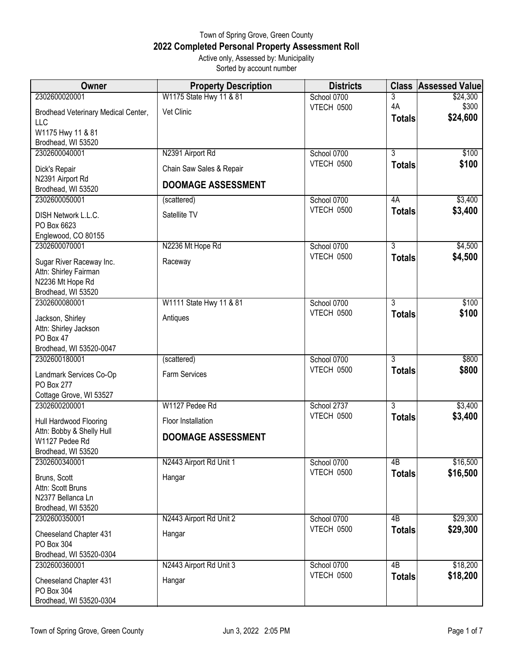## Town of Spring Grove, Green County **2022 Completed Personal Property Assessment Roll** Active only, Assessed by: Municipality

| Sorted by account number |                             |                          |           |                              |  |
|--------------------------|-----------------------------|--------------------------|-----------|------------------------------|--|
| Owner                    | <b>Property Description</b> | <b>Districts</b>         |           | <b>Class Assessed Valuel</b> |  |
| 01                       | W1175 State Hwy 11 & 81     | School 0700              |           | \$24,300                     |  |
|                          |                             | <b><i>ITEOU AEAA</i></b> | $\Lambda$ | ሰገሰበ                         |  |

| 2302600020001                          | W1175 State Hwy 11 & 81   | School 0700       | 3                   | \$24,300          |
|----------------------------------------|---------------------------|-------------------|---------------------|-------------------|
| Brodhead Veterinary Medical Center,    | Vet Clinic                | VTECH 0500        | 4A<br><b>Totals</b> | \$300<br>\$24,600 |
| LLC<br>W1175 Hwy 11 & 81               |                           |                   |                     |                   |
| Brodhead, WI 53520                     |                           |                   |                     |                   |
| 2302600040001                          | N2391 Airport Rd          | School 0700       | $\overline{3}$      | \$100             |
|                                        | Chain Saw Sales & Repair  | VTECH 0500        | <b>Totals</b>       | \$100             |
| Dick's Repair<br>N2391 Airport Rd      |                           |                   |                     |                   |
| Brodhead, WI 53520                     | <b>DOOMAGE ASSESSMENT</b> |                   |                     |                   |
| 2302600050001                          | (scattered)               | School 0700       | 4A                  | \$3,400           |
| DISH Network L.L.C.                    | Satellite TV              | VTECH 0500        | <b>Totals</b>       | \$3,400           |
| PO Box 6623                            |                           |                   |                     |                   |
| Englewood, CO 80155                    |                           |                   |                     |                   |
| 2302600070001                          | N2236 Mt Hope Rd          | School 0700       | $\overline{3}$      | \$4,500           |
| Sugar River Raceway Inc.               | Raceway                   | <b>VTECH 0500</b> | <b>Totals</b>       | \$4,500           |
| Attn: Shirley Fairman                  |                           |                   |                     |                   |
| N2236 Mt Hope Rd                       |                           |                   |                     |                   |
| Brodhead, WI 53520                     |                           |                   |                     |                   |
| 2302600080001                          | W1111 State Hwy 11 & 81   | School 0700       | $\overline{3}$      | \$100             |
| Jackson, Shirley                       | Antiques                  | VTECH 0500        | <b>Totals</b>       | \$100             |
| Attn: Shirley Jackson                  |                           |                   |                     |                   |
| PO Box 47                              |                           |                   |                     |                   |
| Brodhead, WI 53520-0047                |                           |                   |                     |                   |
| 2302600180001                          | (scattered)               | School 0700       | $\overline{3}$      | \$800             |
| Landmark Services Co-Op                | Farm Services             | VTECH 0500        | <b>Totals</b>       | \$800             |
| PO Box 277                             |                           |                   |                     |                   |
| Cottage Grove, WI 53527                |                           |                   |                     |                   |
| 2302600200001                          | W1127 Pedee Rd            | School 2737       | $\overline{3}$      | \$3,400           |
| Hull Hardwood Flooring                 | Floor Installation        | VTECH 0500        | <b>Totals</b>       | \$3,400           |
| Attn: Bobby & Shelly Hull              | <b>DOOMAGE ASSESSMENT</b> |                   |                     |                   |
| W1127 Pedee Rd<br>Brodhead, WI 53520   |                           |                   |                     |                   |
| 2302600340001                          | N2443 Airport Rd Unit 1   | School 0700       | 4B                  | \$16,500          |
|                                        |                           | VTECH 0500        | <b>Totals</b>       | \$16,500          |
| Bruns, Scott                           | Hangar                    |                   |                     |                   |
| Attn: Scott Bruns<br>N2377 Bellanca Ln |                           |                   |                     |                   |
| Brodhead, WI 53520                     |                           |                   |                     |                   |
| 2302600350001                          | N2443 Airport Rd Unit 2   | School 0700       | $\overline{AB}$     | \$29,300          |
|                                        |                           | VTECH 0500        | <b>Totals</b>       | \$29,300          |
| Cheeseland Chapter 431<br>PO Box 304   | Hangar                    |                   |                     |                   |
| Brodhead, WI 53520-0304                |                           |                   |                     |                   |
| 2302600360001                          | N2443 Airport Rd Unit 3   | School 0700       | $\overline{AB}$     | \$18,200          |
|                                        |                           | VTECH 0500        | <b>Totals</b>       | \$18,200          |
| Cheeseland Chapter 431<br>PO Box 304   | Hangar                    |                   |                     |                   |
| Brodhead, WI 53520-0304                |                           |                   |                     |                   |
|                                        |                           |                   |                     |                   |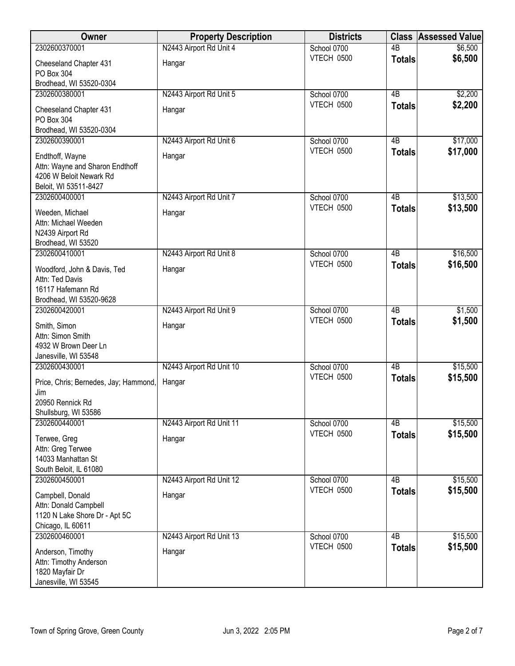| Owner                                 | <b>Property Description</b> | <b>Districts</b>          | <b>Class</b>    | <b>Assessed Value</b> |
|---------------------------------------|-----------------------------|---------------------------|-----------------|-----------------------|
| 2302600370001                         | N2443 Airport Rd Unit 4     | School 0700               | $\overline{AB}$ | \$6,500               |
| Cheeseland Chapter 431                | Hangar                      | VTECH 0500                | <b>Totals</b>   | \$6,500               |
| PO Box 304                            |                             |                           |                 |                       |
| Brodhead, WI 53520-0304               |                             |                           |                 |                       |
| 2302600380001                         | N2443 Airport Rd Unit 5     | School 0700               | $\overline{AB}$ | \$2,200               |
| Cheeseland Chapter 431                | Hangar                      | VTECH 0500                | <b>Totals</b>   | \$2,200               |
| PO Box 304                            |                             |                           |                 |                       |
| Brodhead, WI 53520-0304               |                             |                           |                 |                       |
| 2302600390001                         | N2443 Airport Rd Unit 6     | School 0700               | 4B              | \$17,000              |
| Endthoff, Wayne                       | Hangar                      | VTECH 0500                | <b>Totals</b>   | \$17,000              |
| Attn: Wayne and Sharon Endthoff       |                             |                           |                 |                       |
| 4206 W Beloit Newark Rd               |                             |                           |                 |                       |
| Beloit, WI 53511-8427                 |                             |                           |                 |                       |
| 2302600400001                         | N2443 Airport Rd Unit 7     | School 0700               | $\overline{AB}$ | \$13,500              |
| Weeden, Michael                       | Hangar                      | VTECH 0500                | <b>Totals</b>   | \$13,500              |
| Attn: Michael Weeden                  |                             |                           |                 |                       |
| N2439 Airport Rd                      |                             |                           |                 |                       |
| Brodhead, WI 53520                    |                             |                           |                 |                       |
| 2302600410001                         | N2443 Airport Rd Unit 8     | School 0700               | $\overline{AB}$ | \$16,500              |
| Woodford, John & Davis, Ted           | Hangar                      | VTECH 0500                | <b>Totals</b>   | \$16,500              |
| Attn: Ted Davis                       |                             |                           |                 |                       |
| 16117 Hafemann Rd                     |                             |                           |                 |                       |
| Brodhead, WI 53520-9628               |                             |                           |                 |                       |
| 2302600420001                         | N2443 Airport Rd Unit 9     | School 0700               | $\overline{AB}$ | \$1,500               |
| Smith, Simon                          | Hangar                      | VTECH 0500                | <b>Totals</b>   | \$1,500               |
| Attn: Simon Smith                     |                             |                           |                 |                       |
| 4932 W Brown Deer Ln                  |                             |                           |                 |                       |
| Janesville, WI 53548                  |                             |                           |                 |                       |
| 2302600430001                         | N2443 Airport Rd Unit 10    | School 0700               | $\overline{AB}$ | \$15,500              |
| Price, Chris; Bernedes, Jay; Hammond, | Hangar                      | VTECH 0500                | <b>Totals</b>   | \$15,500              |
| Jim                                   |                             |                           |                 |                       |
| 20950 Rennick Rd                      |                             |                           |                 |                       |
| Shullsburg, WI 53586                  |                             |                           |                 |                       |
| 2302600440001                         | N2443 Airport Rd Unit 11    | School 0700               | 4B              | \$15,500              |
| Terwee, Greg                          | Hangar                      | VTECH 0500                | <b>Totals</b>   | \$15,500              |
| Attn: Greg Terwee                     |                             |                           |                 |                       |
| 14033 Manhattan St                    |                             |                           |                 |                       |
| South Beloit, IL 61080                |                             |                           |                 |                       |
| 2302600450001                         | N2443 Airport Rd Unit 12    | School 0700<br>VTECH 0500 | 4B              | \$15,500<br>\$15,500  |
| Campbell, Donald                      | Hangar                      |                           | <b>Totals</b>   |                       |
| Attn: Donald Campbell                 |                             |                           |                 |                       |
| 1120 N Lake Shore Dr - Apt 5C         |                             |                           |                 |                       |
| Chicago, IL 60611<br>2302600460001    |                             | School 0700               | $\overline{AB}$ | \$15,500              |
|                                       | N2443 Airport Rd Unit 13    | VTECH 0500                |                 | \$15,500              |
| Anderson, Timothy                     | Hangar                      |                           | <b>Totals</b>   |                       |
| Attn: Timothy Anderson                |                             |                           |                 |                       |
| 1820 Mayfair Dr                       |                             |                           |                 |                       |
| Janesville, WI 53545                  |                             |                           |                 |                       |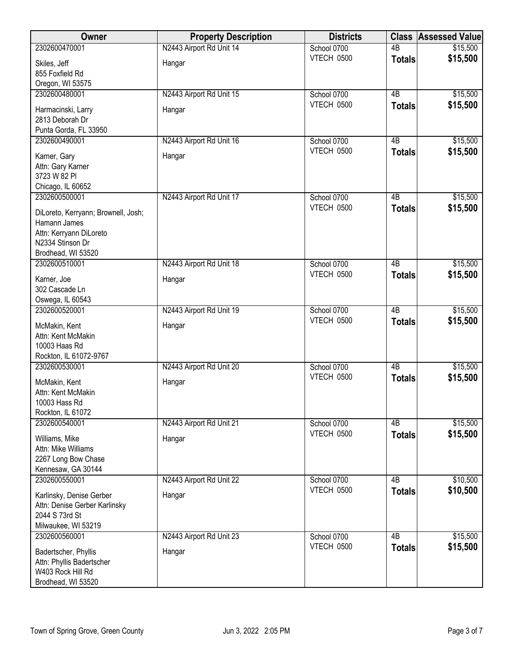| Owner                               | <b>Property Description</b> | <b>Districts</b> | <b>Class</b>    | <b>Assessed Value</b> |
|-------------------------------------|-----------------------------|------------------|-----------------|-----------------------|
| 2302600470001                       | N2443 Airport Rd Unit 14    | School 0700      | $\overline{AB}$ | \$15,500              |
| Skiles, Jeff                        | Hangar                      | VTECH 0500       | <b>Totals</b>   | \$15,500              |
| 855 Foxfield Rd                     |                             |                  |                 |                       |
| Oregon, WI 53575                    |                             |                  |                 |                       |
| 2302600480001                       | N2443 Airport Rd Unit 15    | School 0700      | $\overline{AB}$ | \$15,500              |
| Harmacinski, Larry                  | Hangar                      | VTECH 0500       | <b>Totals</b>   | \$15,500              |
| 2813 Deborah Dr                     |                             |                  |                 |                       |
| Punta Gorda, FL 33950               |                             |                  |                 |                       |
| 2302600490001                       | N2443 Airport Rd Unit 16    | School 0700      | 4B              | \$15,500              |
| Karner, Gary                        | Hangar                      | VTECH 0500       | <b>Totals</b>   | \$15,500              |
| Attn: Gary Karner                   |                             |                  |                 |                       |
| 3723 W 82 PI                        |                             |                  |                 |                       |
| Chicago, IL 60652                   |                             |                  |                 |                       |
| 2302600500001                       | N2443 Airport Rd Unit 17    | School 0700      | 4B              | \$15,500              |
| DiLoreto, Kerryann; Brownell, Josh; |                             | VTECH 0500       | <b>Totals</b>   | \$15,500              |
| Hamann James                        |                             |                  |                 |                       |
| Attn: Kerryann DiLoreto             |                             |                  |                 |                       |
| N2334 Stinson Dr                    |                             |                  |                 |                       |
| Brodhead, WI 53520                  |                             |                  |                 |                       |
| 2302600510001                       | N2443 Airport Rd Unit 18    | School 0700      | $\overline{AB}$ | \$15,500              |
| Karner, Joe                         | Hangar                      | VTECH 0500       | <b>Totals</b>   | \$15,500              |
| 302 Cascade Ln                      |                             |                  |                 |                       |
| Oswega, IL 60543                    |                             |                  |                 |                       |
| 2302600520001                       | N2443 Airport Rd Unit 19    | School 0700      | $\overline{AB}$ | \$15,500              |
| McMakin, Kent                       | Hangar                      | VTECH 0500       | <b>Totals</b>   | \$15,500              |
| Attn: Kent McMakin                  |                             |                  |                 |                       |
| 10003 Haas Rd                       |                             |                  |                 |                       |
| Rockton, IL 61072-9767              |                             |                  |                 |                       |
| 2302600530001                       | N2443 Airport Rd Unit 20    | School 0700      | 4B              | \$15,500              |
| McMakin, Kent                       | Hangar                      | VTECH 0500       | <b>Totals</b>   | \$15,500              |
| Attn: Kent McMakin                  |                             |                  |                 |                       |
| 10003 Hass Rd                       |                             |                  |                 |                       |
| Rockton, IL 61072                   |                             |                  |                 |                       |
| 2302600540001                       | N2443 Airport Rd Unit 21    | School 0700      | 4B              | \$15,500              |
| Williams, Mike                      | Hangar                      | VTECH 0500       | <b>Totals</b>   | \$15,500              |
| Attn: Mike Williams                 |                             |                  |                 |                       |
| 2267 Long Bow Chase                 |                             |                  |                 |                       |
| Kennesaw, GA 30144                  |                             |                  |                 |                       |
| 2302600550001                       | N2443 Airport Rd Unit 22    | School 0700      | 4B              | \$10,500              |
| Karlinsky, Denise Gerber            | Hangar                      | VTECH 0500       | <b>Totals</b>   | \$10,500              |
| Attn: Denise Gerber Karlinsky       |                             |                  |                 |                       |
| 2044 S 73rd St                      |                             |                  |                 |                       |
| Milwaukee, WI 53219                 |                             |                  |                 |                       |
| 2302600560001                       | N2443 Airport Rd Unit 23    | School 0700      | $\overline{AB}$ | \$15,500              |
| Badertscher, Phyllis                | Hangar                      | VTECH 0500       | <b>Totals</b>   | \$15,500              |
| Attn: Phyllis Badertscher           |                             |                  |                 |                       |
| W403 Rock Hill Rd                   |                             |                  |                 |                       |
| Brodhead, WI 53520                  |                             |                  |                 |                       |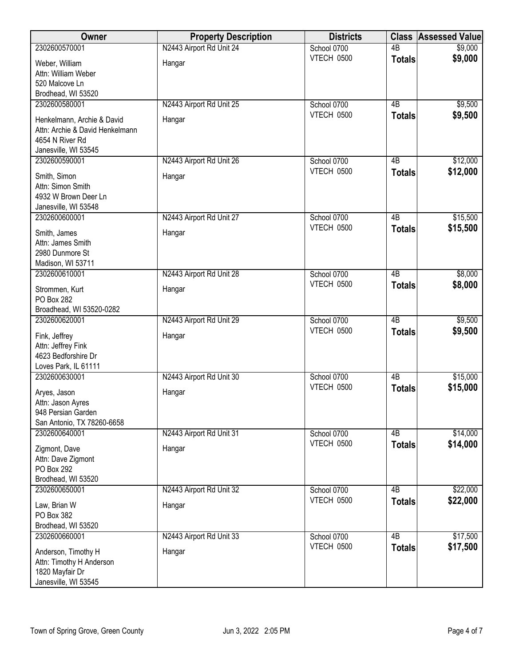| N2443 Airport Rd Unit 24<br>2302600570001<br>4B<br>School 0700<br>\$9,000<br>\$9,000<br>VTECH 0500<br><b>Totals</b><br>Hangar<br>Weber, William<br>Attn: William Weber<br>520 Malcove Ln<br>Brodhead, WI 53520<br>2302600580001<br>N2443 Airport Rd Unit 25<br>School 0700<br>4B<br>\$9,500<br><b>VTECH 0500</b><br>\$9,500<br><b>Totals</b><br>Henkelmann, Archie & David<br>Hangar<br>Attn: Archie & David Henkelmann<br>4654 N River Rd<br>Janesville, WI 53545<br>N2443 Airport Rd Unit 26<br>\$12,000<br>2302600590001<br>School 0700<br>4B<br>VTECH 0500<br>\$12,000<br><b>Totals</b><br>Smith, Simon<br>Hangar<br>Attn: Simon Smith<br>4932 W Brown Deer Ln<br>Janesville, WI 53548<br>2302600600001<br>N2443 Airport Rd Unit 27<br>School 0700<br>$\overline{AB}$<br>\$15,500<br>VTECH 0500<br>\$15,500<br><b>Totals</b><br>Smith, James<br>Hangar<br>Attn: James Smith<br>2980 Dunmore St<br>Madison, WI 53711<br>\$8,000<br>2302600610001<br>N2443 Airport Rd Unit 28<br>School 0700<br>$\overline{AB}$<br><b>VTECH 0500</b><br>\$8,000<br><b>Totals</b><br>Strommen, Kurt<br>Hangar<br>PO Box 282<br>Broadhead, WI 53520-0282<br>\$9,500<br>2302600620001<br>N2443 Airport Rd Unit 29<br>School 0700<br>4B<br>\$9,500<br>VTECH 0500<br><b>Totals</b><br>Fink, Jeffrey<br>Hangar<br>Attn: Jeffrey Fink<br>4623 Bedforshire Dr<br>Loves Park, IL 61111<br>$\overline{AB}$<br>2302600630001<br>N2443 Airport Rd Unit 30<br>School 0700<br>\$15,000<br>VTECH 0500<br>\$15,000<br><b>Totals</b><br>Hangar<br>Aryes, Jason<br>Attn: Jason Ayres<br>948 Persian Garden<br>San Antonio, TX 78260-6658<br>2302600640001<br>N2443 Airport Rd Unit 31<br>\$14,000<br>School 0700<br>4B<br>VTECH 0500<br>\$14,000<br><b>Totals</b><br>Zigmont, Dave<br>Hangar<br>Attn: Dave Zigmont<br>PO Box 292<br>Brodhead, WI 53520<br>2302600650001<br>N2443 Airport Rd Unit 32<br>\$22,000<br>School 0700<br>4 <sub>B</sub><br>VTECH 0500<br>\$22,000<br><b>Totals</b><br>Hangar<br>Law, Brian W<br>PO Box 382<br>Brodhead, WI 53520<br>2302600660001<br>N2443 Airport Rd Unit 33<br>$\overline{AB}$<br>\$17,500<br>School 0700<br><b>VTECH 0500</b><br>\$17,500<br><b>Totals</b><br>Anderson, Timothy H<br>Hangar<br>Attn: Timothy H Anderson<br>1820 Mayfair Dr | Owner                | <b>Property Description</b> | <b>Districts</b> | <b>Class</b> | Assessed Value |
|--------------------------------------------------------------------------------------------------------------------------------------------------------------------------------------------------------------------------------------------------------------------------------------------------------------------------------------------------------------------------------------------------------------------------------------------------------------------------------------------------------------------------------------------------------------------------------------------------------------------------------------------------------------------------------------------------------------------------------------------------------------------------------------------------------------------------------------------------------------------------------------------------------------------------------------------------------------------------------------------------------------------------------------------------------------------------------------------------------------------------------------------------------------------------------------------------------------------------------------------------------------------------------------------------------------------------------------------------------------------------------------------------------------------------------------------------------------------------------------------------------------------------------------------------------------------------------------------------------------------------------------------------------------------------------------------------------------------------------------------------------------------------------------------------------------------------------------------------------------------------------------------------------------------------------------------------------------------------------------------------------------------------------------------------------------------------------------------------------------------------------------------------------------------------------------------------------------------------------------------------------|----------------------|-----------------------------|------------------|--------------|----------------|
|                                                                                                                                                                                                                                                                                                                                                                                                                                                                                                                                                                                                                                                                                                                                                                                                                                                                                                                                                                                                                                                                                                                                                                                                                                                                                                                                                                                                                                                                                                                                                                                                                                                                                                                                                                                                                                                                                                                                                                                                                                                                                                                                                                                                                                                        |                      |                             |                  |              |                |
|                                                                                                                                                                                                                                                                                                                                                                                                                                                                                                                                                                                                                                                                                                                                                                                                                                                                                                                                                                                                                                                                                                                                                                                                                                                                                                                                                                                                                                                                                                                                                                                                                                                                                                                                                                                                                                                                                                                                                                                                                                                                                                                                                                                                                                                        |                      |                             |                  |              |                |
|                                                                                                                                                                                                                                                                                                                                                                                                                                                                                                                                                                                                                                                                                                                                                                                                                                                                                                                                                                                                                                                                                                                                                                                                                                                                                                                                                                                                                                                                                                                                                                                                                                                                                                                                                                                                                                                                                                                                                                                                                                                                                                                                                                                                                                                        |                      |                             |                  |              |                |
|                                                                                                                                                                                                                                                                                                                                                                                                                                                                                                                                                                                                                                                                                                                                                                                                                                                                                                                                                                                                                                                                                                                                                                                                                                                                                                                                                                                                                                                                                                                                                                                                                                                                                                                                                                                                                                                                                                                                                                                                                                                                                                                                                                                                                                                        |                      |                             |                  |              |                |
|                                                                                                                                                                                                                                                                                                                                                                                                                                                                                                                                                                                                                                                                                                                                                                                                                                                                                                                                                                                                                                                                                                                                                                                                                                                                                                                                                                                                                                                                                                                                                                                                                                                                                                                                                                                                                                                                                                                                                                                                                                                                                                                                                                                                                                                        |                      |                             |                  |              |                |
|                                                                                                                                                                                                                                                                                                                                                                                                                                                                                                                                                                                                                                                                                                                                                                                                                                                                                                                                                                                                                                                                                                                                                                                                                                                                                                                                                                                                                                                                                                                                                                                                                                                                                                                                                                                                                                                                                                                                                                                                                                                                                                                                                                                                                                                        |                      |                             |                  |              |                |
|                                                                                                                                                                                                                                                                                                                                                                                                                                                                                                                                                                                                                                                                                                                                                                                                                                                                                                                                                                                                                                                                                                                                                                                                                                                                                                                                                                                                                                                                                                                                                                                                                                                                                                                                                                                                                                                                                                                                                                                                                                                                                                                                                                                                                                                        |                      |                             |                  |              |                |
|                                                                                                                                                                                                                                                                                                                                                                                                                                                                                                                                                                                                                                                                                                                                                                                                                                                                                                                                                                                                                                                                                                                                                                                                                                                                                                                                                                                                                                                                                                                                                                                                                                                                                                                                                                                                                                                                                                                                                                                                                                                                                                                                                                                                                                                        |                      |                             |                  |              |                |
|                                                                                                                                                                                                                                                                                                                                                                                                                                                                                                                                                                                                                                                                                                                                                                                                                                                                                                                                                                                                                                                                                                                                                                                                                                                                                                                                                                                                                                                                                                                                                                                                                                                                                                                                                                                                                                                                                                                                                                                                                                                                                                                                                                                                                                                        |                      |                             |                  |              |                |
|                                                                                                                                                                                                                                                                                                                                                                                                                                                                                                                                                                                                                                                                                                                                                                                                                                                                                                                                                                                                                                                                                                                                                                                                                                                                                                                                                                                                                                                                                                                                                                                                                                                                                                                                                                                                                                                                                                                                                                                                                                                                                                                                                                                                                                                        |                      |                             |                  |              |                |
|                                                                                                                                                                                                                                                                                                                                                                                                                                                                                                                                                                                                                                                                                                                                                                                                                                                                                                                                                                                                                                                                                                                                                                                                                                                                                                                                                                                                                                                                                                                                                                                                                                                                                                                                                                                                                                                                                                                                                                                                                                                                                                                                                                                                                                                        |                      |                             |                  |              |                |
|                                                                                                                                                                                                                                                                                                                                                                                                                                                                                                                                                                                                                                                                                                                                                                                                                                                                                                                                                                                                                                                                                                                                                                                                                                                                                                                                                                                                                                                                                                                                                                                                                                                                                                                                                                                                                                                                                                                                                                                                                                                                                                                                                                                                                                                        |                      |                             |                  |              |                |
|                                                                                                                                                                                                                                                                                                                                                                                                                                                                                                                                                                                                                                                                                                                                                                                                                                                                                                                                                                                                                                                                                                                                                                                                                                                                                                                                                                                                                                                                                                                                                                                                                                                                                                                                                                                                                                                                                                                                                                                                                                                                                                                                                                                                                                                        |                      |                             |                  |              |                |
|                                                                                                                                                                                                                                                                                                                                                                                                                                                                                                                                                                                                                                                                                                                                                                                                                                                                                                                                                                                                                                                                                                                                                                                                                                                                                                                                                                                                                                                                                                                                                                                                                                                                                                                                                                                                                                                                                                                                                                                                                                                                                                                                                                                                                                                        |                      |                             |                  |              |                |
|                                                                                                                                                                                                                                                                                                                                                                                                                                                                                                                                                                                                                                                                                                                                                                                                                                                                                                                                                                                                                                                                                                                                                                                                                                                                                                                                                                                                                                                                                                                                                                                                                                                                                                                                                                                                                                                                                                                                                                                                                                                                                                                                                                                                                                                        |                      |                             |                  |              |                |
|                                                                                                                                                                                                                                                                                                                                                                                                                                                                                                                                                                                                                                                                                                                                                                                                                                                                                                                                                                                                                                                                                                                                                                                                                                                                                                                                                                                                                                                                                                                                                                                                                                                                                                                                                                                                                                                                                                                                                                                                                                                                                                                                                                                                                                                        |                      |                             |                  |              |                |
|                                                                                                                                                                                                                                                                                                                                                                                                                                                                                                                                                                                                                                                                                                                                                                                                                                                                                                                                                                                                                                                                                                                                                                                                                                                                                                                                                                                                                                                                                                                                                                                                                                                                                                                                                                                                                                                                                                                                                                                                                                                                                                                                                                                                                                                        |                      |                             |                  |              |                |
|                                                                                                                                                                                                                                                                                                                                                                                                                                                                                                                                                                                                                                                                                                                                                                                                                                                                                                                                                                                                                                                                                                                                                                                                                                                                                                                                                                                                                                                                                                                                                                                                                                                                                                                                                                                                                                                                                                                                                                                                                                                                                                                                                                                                                                                        |                      |                             |                  |              |                |
|                                                                                                                                                                                                                                                                                                                                                                                                                                                                                                                                                                                                                                                                                                                                                                                                                                                                                                                                                                                                                                                                                                                                                                                                                                                                                                                                                                                                                                                                                                                                                                                                                                                                                                                                                                                                                                                                                                                                                                                                                                                                                                                                                                                                                                                        |                      |                             |                  |              |                |
|                                                                                                                                                                                                                                                                                                                                                                                                                                                                                                                                                                                                                                                                                                                                                                                                                                                                                                                                                                                                                                                                                                                                                                                                                                                                                                                                                                                                                                                                                                                                                                                                                                                                                                                                                                                                                                                                                                                                                                                                                                                                                                                                                                                                                                                        |                      |                             |                  |              |                |
|                                                                                                                                                                                                                                                                                                                                                                                                                                                                                                                                                                                                                                                                                                                                                                                                                                                                                                                                                                                                                                                                                                                                                                                                                                                                                                                                                                                                                                                                                                                                                                                                                                                                                                                                                                                                                                                                                                                                                                                                                                                                                                                                                                                                                                                        |                      |                             |                  |              |                |
|                                                                                                                                                                                                                                                                                                                                                                                                                                                                                                                                                                                                                                                                                                                                                                                                                                                                                                                                                                                                                                                                                                                                                                                                                                                                                                                                                                                                                                                                                                                                                                                                                                                                                                                                                                                                                                                                                                                                                                                                                                                                                                                                                                                                                                                        |                      |                             |                  |              |                |
|                                                                                                                                                                                                                                                                                                                                                                                                                                                                                                                                                                                                                                                                                                                                                                                                                                                                                                                                                                                                                                                                                                                                                                                                                                                                                                                                                                                                                                                                                                                                                                                                                                                                                                                                                                                                                                                                                                                                                                                                                                                                                                                                                                                                                                                        |                      |                             |                  |              |                |
|                                                                                                                                                                                                                                                                                                                                                                                                                                                                                                                                                                                                                                                                                                                                                                                                                                                                                                                                                                                                                                                                                                                                                                                                                                                                                                                                                                                                                                                                                                                                                                                                                                                                                                                                                                                                                                                                                                                                                                                                                                                                                                                                                                                                                                                        |                      |                             |                  |              |                |
|                                                                                                                                                                                                                                                                                                                                                                                                                                                                                                                                                                                                                                                                                                                                                                                                                                                                                                                                                                                                                                                                                                                                                                                                                                                                                                                                                                                                                                                                                                                                                                                                                                                                                                                                                                                                                                                                                                                                                                                                                                                                                                                                                                                                                                                        |                      |                             |                  |              |                |
|                                                                                                                                                                                                                                                                                                                                                                                                                                                                                                                                                                                                                                                                                                                                                                                                                                                                                                                                                                                                                                                                                                                                                                                                                                                                                                                                                                                                                                                                                                                                                                                                                                                                                                                                                                                                                                                                                                                                                                                                                                                                                                                                                                                                                                                        |                      |                             |                  |              |                |
|                                                                                                                                                                                                                                                                                                                                                                                                                                                                                                                                                                                                                                                                                                                                                                                                                                                                                                                                                                                                                                                                                                                                                                                                                                                                                                                                                                                                                                                                                                                                                                                                                                                                                                                                                                                                                                                                                                                                                                                                                                                                                                                                                                                                                                                        |                      |                             |                  |              |                |
|                                                                                                                                                                                                                                                                                                                                                                                                                                                                                                                                                                                                                                                                                                                                                                                                                                                                                                                                                                                                                                                                                                                                                                                                                                                                                                                                                                                                                                                                                                                                                                                                                                                                                                                                                                                                                                                                                                                                                                                                                                                                                                                                                                                                                                                        |                      |                             |                  |              |                |
|                                                                                                                                                                                                                                                                                                                                                                                                                                                                                                                                                                                                                                                                                                                                                                                                                                                                                                                                                                                                                                                                                                                                                                                                                                                                                                                                                                                                                                                                                                                                                                                                                                                                                                                                                                                                                                                                                                                                                                                                                                                                                                                                                                                                                                                        |                      |                             |                  |              |                |
|                                                                                                                                                                                                                                                                                                                                                                                                                                                                                                                                                                                                                                                                                                                                                                                                                                                                                                                                                                                                                                                                                                                                                                                                                                                                                                                                                                                                                                                                                                                                                                                                                                                                                                                                                                                                                                                                                                                                                                                                                                                                                                                                                                                                                                                        |                      |                             |                  |              |                |
|                                                                                                                                                                                                                                                                                                                                                                                                                                                                                                                                                                                                                                                                                                                                                                                                                                                                                                                                                                                                                                                                                                                                                                                                                                                                                                                                                                                                                                                                                                                                                                                                                                                                                                                                                                                                                                                                                                                                                                                                                                                                                                                                                                                                                                                        |                      |                             |                  |              |                |
|                                                                                                                                                                                                                                                                                                                                                                                                                                                                                                                                                                                                                                                                                                                                                                                                                                                                                                                                                                                                                                                                                                                                                                                                                                                                                                                                                                                                                                                                                                                                                                                                                                                                                                                                                                                                                                                                                                                                                                                                                                                                                                                                                                                                                                                        |                      |                             |                  |              |                |
|                                                                                                                                                                                                                                                                                                                                                                                                                                                                                                                                                                                                                                                                                                                                                                                                                                                                                                                                                                                                                                                                                                                                                                                                                                                                                                                                                                                                                                                                                                                                                                                                                                                                                                                                                                                                                                                                                                                                                                                                                                                                                                                                                                                                                                                        |                      |                             |                  |              |                |
|                                                                                                                                                                                                                                                                                                                                                                                                                                                                                                                                                                                                                                                                                                                                                                                                                                                                                                                                                                                                                                                                                                                                                                                                                                                                                                                                                                                                                                                                                                                                                                                                                                                                                                                                                                                                                                                                                                                                                                                                                                                                                                                                                                                                                                                        |                      |                             |                  |              |                |
|                                                                                                                                                                                                                                                                                                                                                                                                                                                                                                                                                                                                                                                                                                                                                                                                                                                                                                                                                                                                                                                                                                                                                                                                                                                                                                                                                                                                                                                                                                                                                                                                                                                                                                                                                                                                                                                                                                                                                                                                                                                                                                                                                                                                                                                        |                      |                             |                  |              |                |
|                                                                                                                                                                                                                                                                                                                                                                                                                                                                                                                                                                                                                                                                                                                                                                                                                                                                                                                                                                                                                                                                                                                                                                                                                                                                                                                                                                                                                                                                                                                                                                                                                                                                                                                                                                                                                                                                                                                                                                                                                                                                                                                                                                                                                                                        |                      |                             |                  |              |                |
|                                                                                                                                                                                                                                                                                                                                                                                                                                                                                                                                                                                                                                                                                                                                                                                                                                                                                                                                                                                                                                                                                                                                                                                                                                                                                                                                                                                                                                                                                                                                                                                                                                                                                                                                                                                                                                                                                                                                                                                                                                                                                                                                                                                                                                                        |                      |                             |                  |              |                |
|                                                                                                                                                                                                                                                                                                                                                                                                                                                                                                                                                                                                                                                                                                                                                                                                                                                                                                                                                                                                                                                                                                                                                                                                                                                                                                                                                                                                                                                                                                                                                                                                                                                                                                                                                                                                                                                                                                                                                                                                                                                                                                                                                                                                                                                        |                      |                             |                  |              |                |
|                                                                                                                                                                                                                                                                                                                                                                                                                                                                                                                                                                                                                                                                                                                                                                                                                                                                                                                                                                                                                                                                                                                                                                                                                                                                                                                                                                                                                                                                                                                                                                                                                                                                                                                                                                                                                                                                                                                                                                                                                                                                                                                                                                                                                                                        |                      |                             |                  |              |                |
|                                                                                                                                                                                                                                                                                                                                                                                                                                                                                                                                                                                                                                                                                                                                                                                                                                                                                                                                                                                                                                                                                                                                                                                                                                                                                                                                                                                                                                                                                                                                                                                                                                                                                                                                                                                                                                                                                                                                                                                                                                                                                                                                                                                                                                                        |                      |                             |                  |              |                |
|                                                                                                                                                                                                                                                                                                                                                                                                                                                                                                                                                                                                                                                                                                                                                                                                                                                                                                                                                                                                                                                                                                                                                                                                                                                                                                                                                                                                                                                                                                                                                                                                                                                                                                                                                                                                                                                                                                                                                                                                                                                                                                                                                                                                                                                        |                      |                             |                  |              |                |
|                                                                                                                                                                                                                                                                                                                                                                                                                                                                                                                                                                                                                                                                                                                                                                                                                                                                                                                                                                                                                                                                                                                                                                                                                                                                                                                                                                                                                                                                                                                                                                                                                                                                                                                                                                                                                                                                                                                                                                                                                                                                                                                                                                                                                                                        |                      |                             |                  |              |                |
|                                                                                                                                                                                                                                                                                                                                                                                                                                                                                                                                                                                                                                                                                                                                                                                                                                                                                                                                                                                                                                                                                                                                                                                                                                                                                                                                                                                                                                                                                                                                                                                                                                                                                                                                                                                                                                                                                                                                                                                                                                                                                                                                                                                                                                                        |                      |                             |                  |              |                |
|                                                                                                                                                                                                                                                                                                                                                                                                                                                                                                                                                                                                                                                                                                                                                                                                                                                                                                                                                                                                                                                                                                                                                                                                                                                                                                                                                                                                                                                                                                                                                                                                                                                                                                                                                                                                                                                                                                                                                                                                                                                                                                                                                                                                                                                        |                      |                             |                  |              |                |
|                                                                                                                                                                                                                                                                                                                                                                                                                                                                                                                                                                                                                                                                                                                                                                                                                                                                                                                                                                                                                                                                                                                                                                                                                                                                                                                                                                                                                                                                                                                                                                                                                                                                                                                                                                                                                                                                                                                                                                                                                                                                                                                                                                                                                                                        |                      |                             |                  |              |                |
|                                                                                                                                                                                                                                                                                                                                                                                                                                                                                                                                                                                                                                                                                                                                                                                                                                                                                                                                                                                                                                                                                                                                                                                                                                                                                                                                                                                                                                                                                                                                                                                                                                                                                                                                                                                                                                                                                                                                                                                                                                                                                                                                                                                                                                                        |                      |                             |                  |              |                |
|                                                                                                                                                                                                                                                                                                                                                                                                                                                                                                                                                                                                                                                                                                                                                                                                                                                                                                                                                                                                                                                                                                                                                                                                                                                                                                                                                                                                                                                                                                                                                                                                                                                                                                                                                                                                                                                                                                                                                                                                                                                                                                                                                                                                                                                        |                      |                             |                  |              |                |
|                                                                                                                                                                                                                                                                                                                                                                                                                                                                                                                                                                                                                                                                                                                                                                                                                                                                                                                                                                                                                                                                                                                                                                                                                                                                                                                                                                                                                                                                                                                                                                                                                                                                                                                                                                                                                                                                                                                                                                                                                                                                                                                                                                                                                                                        | Janesville, WI 53545 |                             |                  |              |                |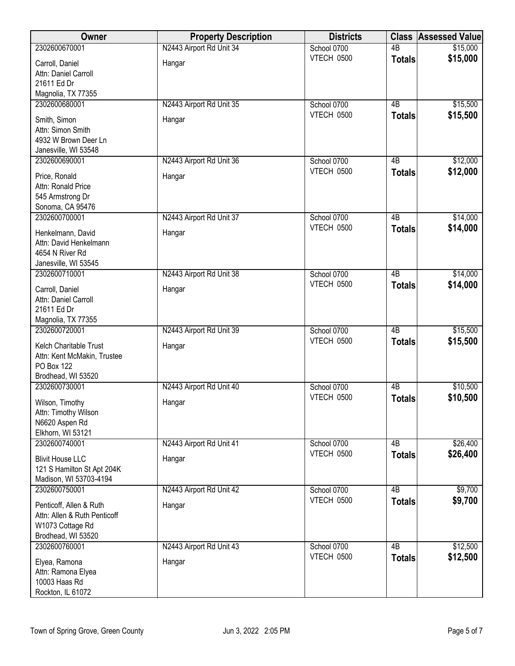| Owner                                                                                             | <b>Property Description</b> | <b>Districts</b>          |                 | <b>Class Assessed Value</b> |
|---------------------------------------------------------------------------------------------------|-----------------------------|---------------------------|-----------------|-----------------------------|
| 2302600670001                                                                                     | N2443 Airport Rd Unit 34    | School 0700               | 4B              | \$15,000                    |
| Carroll, Daniel<br>Attn: Daniel Carroll<br>21611 Ed Dr<br>Magnolia, TX 77355                      | Hangar                      | <b>VTECH 0500</b>         | <b>Totals</b>   | \$15,000                    |
| 2302600680001                                                                                     | N2443 Airport Rd Unit 35    | School 0700               | 4B              | \$15,500                    |
| Smith, Simon<br>Attn: Simon Smith<br>4932 W Brown Deer Ln<br>Janesville, WI 53548                 | Hangar                      | VTECH 0500                | <b>Totals</b>   | \$15,500                    |
| 2302600690001                                                                                     | N2443 Airport Rd Unit 36    | School 0700<br>VTECH 0500 | 4B              | \$12,000                    |
| Price, Ronald<br>Attn: Ronald Price<br>545 Armstrong Dr<br>Sonoma, CA 95476                       | Hangar                      |                           | <b>Totals</b>   | \$12,000                    |
| 2302600700001                                                                                     | N2443 Airport Rd Unit 37    | School 0700               | 4B              | \$14,000                    |
| Henkelmann, David<br>Attn: David Henkelmann<br>4654 N River Rd<br>Janesville, WI 53545            | Hangar                      | VTECH 0500                | <b>Totals</b>   | \$14,000                    |
| 2302600710001                                                                                     | N2443 Airport Rd Unit 38    | School 0700               | $\overline{AB}$ | \$14,000                    |
| Carroll, Daniel<br>Attn: Daniel Carroll<br>21611 Ed Dr<br>Magnolia, TX 77355                      | Hangar                      | VTECH 0500                | <b>Totals</b>   | \$14,000                    |
| 2302600720001                                                                                     | N2443 Airport Rd Unit 39    | School 0700               | 4B              | \$15,500                    |
| Kelch Charitable Trust<br>Attn: Kent McMakin, Trustee<br><b>PO Box 122</b><br>Brodhead, WI 53520  | Hangar                      | <b>VTECH 0500</b>         | <b>Totals</b>   | \$15,500                    |
| 2302600730001                                                                                     | N2443 Airport Rd Unit 40    | School 0700               | 4B              | \$10,500                    |
| Wilson, Timothy<br>Attn: Timothy Wilson<br>N6620 Aspen Rd<br>Elkhorn, WI 53121                    | Hangar                      | VTECH 0500                | <b>Totals</b>   | \$10,500                    |
| 2302600740001                                                                                     | N2443 Airport Rd Unit 41    | School 0700               | 4B              | \$26,400                    |
| <b>Blivit House LLC</b><br>121 S Hamilton St Apt 204K<br>Madison, WI 53703-4194                   | Hangar                      | VTECH 0500                | <b>Totals</b>   | \$26,400                    |
| 2302600750001                                                                                     | N2443 Airport Rd Unit 42    | School 0700               | 4B              | \$9,700                     |
| Penticoff, Allen & Ruth<br>Attn: Allen & Ruth Penticoff<br>W1073 Cottage Rd<br>Brodhead, WI 53520 | Hangar                      | VTECH 0500                | <b>Totals</b>   | \$9,700                     |
| 2302600760001                                                                                     | N2443 Airport Rd Unit 43    | School 0700               | 4B              | \$12,500                    |
| Elyea, Ramona<br>Attn: Ramona Elyea<br>10003 Haas Rd<br>Rockton, IL 61072                         | Hangar                      | VTECH 0500                | <b>Totals</b>   | \$12,500                    |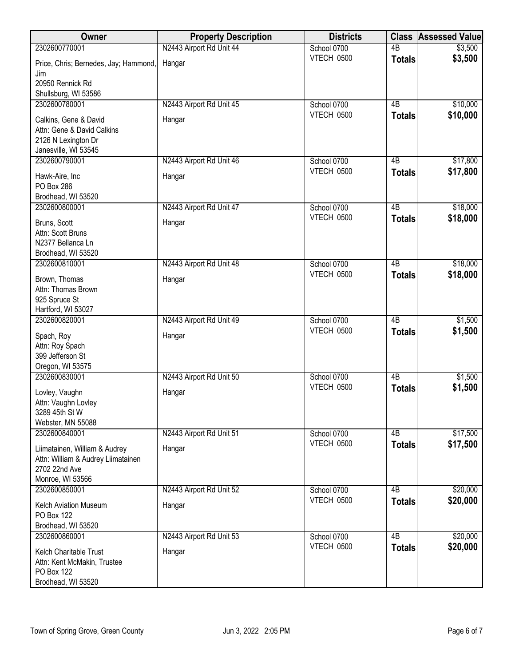| Owner                                                 | <b>Property Description</b> | <b>Districts</b>          | <b>Class</b>    | <b>Assessed Value</b> |
|-------------------------------------------------------|-----------------------------|---------------------------|-----------------|-----------------------|
| 2302600770001                                         | N2443 Airport Rd Unit 44    | School 0700               | 4B              | \$3,500               |
| Price, Chris; Bernedes, Jay; Hammond,<br>Jim          | Hangar                      | VTECH 0500                | <b>Totals</b>   | \$3,500               |
| 20950 Rennick Rd                                      |                             |                           |                 |                       |
| Shullsburg, WI 53586                                  |                             |                           |                 |                       |
| 2302600780001                                         | N2443 Airport Rd Unit 45    | School 0700               | 4B              | \$10,000              |
| Calkins, Gene & David                                 | Hangar                      | VTECH 0500                | <b>Totals</b>   | \$10,000              |
| Attn: Gene & David Calkins                            |                             |                           |                 |                       |
| 2126 N Lexington Dr                                   |                             |                           |                 |                       |
| Janesville, WI 53545                                  |                             |                           |                 |                       |
| 2302600790001                                         | N2443 Airport Rd Unit 46    | School 0700               | 4B              | \$17,800              |
| Hawk-Aire, Inc                                        | Hangar                      | VTECH 0500                | <b>Totals</b>   | \$17,800              |
| <b>PO Box 286</b>                                     |                             |                           |                 |                       |
| Brodhead, WI 53520                                    |                             |                           |                 |                       |
| 2302600800001                                         | N2443 Airport Rd Unit 47    | School 0700               | 4B              | \$18,000              |
| Bruns, Scott                                          | Hangar                      | VTECH 0500                | <b>Totals</b>   | \$18,000              |
| Attn: Scott Bruns                                     |                             |                           |                 |                       |
| N2377 Bellanca Ln                                     |                             |                           |                 |                       |
| Brodhead, WI 53520<br>2302600810001                   | N2443 Airport Rd Unit 48    | School 0700               | $\overline{AB}$ | \$18,000              |
|                                                       |                             | VTECH 0500                | <b>Totals</b>   | \$18,000              |
| Brown, Thomas                                         | Hangar                      |                           |                 |                       |
| Attn: Thomas Brown                                    |                             |                           |                 |                       |
| 925 Spruce St<br>Hartford, WI 53027                   |                             |                           |                 |                       |
| 2302600820001                                         | N2443 Airport Rd Unit 49    | School 0700               | 4B              | \$1,500               |
|                                                       | Hangar                      | <b>VTECH 0500</b>         | <b>Totals</b>   | \$1,500               |
| Spach, Roy<br>Attn: Roy Spach                         |                             |                           |                 |                       |
| 399 Jefferson St                                      |                             |                           |                 |                       |
| Oregon, WI 53575                                      |                             |                           |                 |                       |
| 2302600830001                                         | N2443 Airport Rd Unit 50    | School 0700               | 4B              | \$1,500               |
| Lovley, Vaughn                                        | Hangar                      | VTECH 0500                | <b>Totals</b>   | \$1,500               |
| Attn: Vaughn Lovley                                   |                             |                           |                 |                       |
| 3289 45th St W                                        |                             |                           |                 |                       |
| Webster, MN 55088                                     |                             |                           |                 |                       |
| 2302600840001                                         | N2443 Airport Rd Unit 51    | School 0700<br>VTECH 0500 | 4B              | \$17,500              |
| Liimatainen, William & Audrey                         | Hangar                      |                           | <b>Totals</b>   | \$17,500              |
| Attn: William & Audrey Liimatainen                    |                             |                           |                 |                       |
| 2702 22nd Ave<br>Monroe, WI 53566                     |                             |                           |                 |                       |
| 2302600850001                                         | N2443 Airport Rd Unit 52    | School 0700               | 4B              | \$20,000              |
|                                                       |                             | VTECH 0500                | <b>Totals</b>   | \$20,000              |
| Kelch Aviation Museum<br>PO Box 122                   | Hangar                      |                           |                 |                       |
| Brodhead, WI 53520                                    |                             |                           |                 |                       |
| 2302600860001                                         | N2443 Airport Rd Unit 53    | School 0700               | $\overline{AB}$ | \$20,000              |
|                                                       |                             | VTECH 0500                | <b>Totals</b>   | \$20,000              |
| Kelch Charitable Trust<br>Attn: Kent McMakin, Trustee | Hangar                      |                           |                 |                       |
| <b>PO Box 122</b>                                     |                             |                           |                 |                       |
| Brodhead, WI 53520                                    |                             |                           |                 |                       |